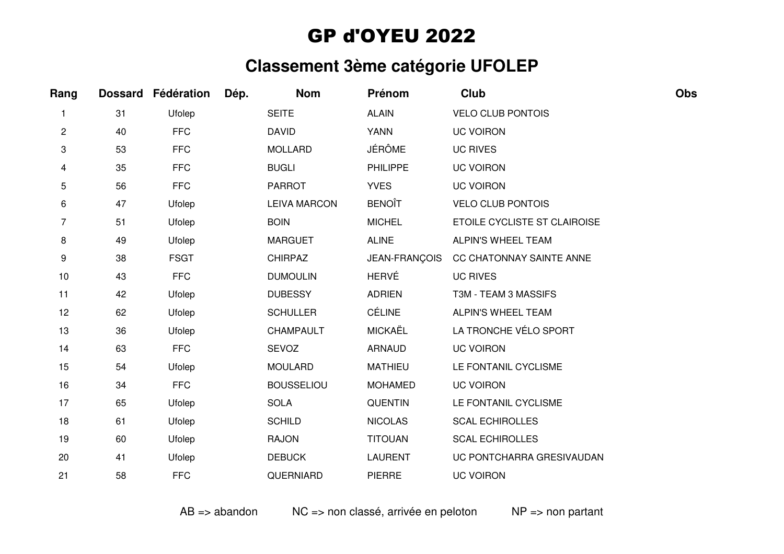## GP d'OYEU 2022

## **Classement 3ème catégorie UFOLEP**

| Rang |    | Dossard Fédération | Dép. | <b>Nom</b>          | Prénom          | Club                         | Obs |
|------|----|--------------------|------|---------------------|-----------------|------------------------------|-----|
|      | 31 | Ufolep             |      | <b>SEITE</b>        | <b>ALAIN</b>    | <b>VELO CLUB PONTOIS</b>     |     |
| 2    | 40 | <b>FFC</b>         |      | <b>DAVID</b>        | <b>YANN</b>     | <b>UC VOIRON</b>             |     |
| 3    | 53 | <b>FFC</b>         |      | <b>MOLLARD</b>      | <b>JÉRÔME</b>   | <b>UC RIVES</b>              |     |
| 4    | 35 | <b>FFC</b>         |      | <b>BUGLI</b>        | <b>PHILIPPE</b> | <b>UC VOIRON</b>             |     |
| 5    | 56 | <b>FFC</b>         |      | <b>PARROT</b>       | <b>YVES</b>     | <b>UC VOIRON</b>             |     |
| 6    | 47 | Ufolep             |      | <b>LEIVA MARCON</b> | <b>BENOÎT</b>   | <b>VELO CLUB PONTOIS</b>     |     |
| 7    | 51 | Ufolep             |      | <b>BOIN</b>         | <b>MICHEL</b>   | ETOILE CYCLISTE ST CLAIROISE |     |
| 8    | 49 | Ufolep             |      | <b>MARGUET</b>      | <b>ALINE</b>    | ALPIN'S WHEEL TEAM           |     |
| 9    | 38 | <b>FSGT</b>        |      | <b>CHIRPAZ</b>      | JEAN-FRANÇOIS   | CC CHATONNAY SAINTE ANNE     |     |
| 10   | 43 | <b>FFC</b>         |      | <b>DUMOULIN</b>     | <b>HERVÉ</b>    | <b>UC RIVES</b>              |     |
| 11   | 42 | Ufolep             |      | <b>DUBESSY</b>      | <b>ADRIEN</b>   | T3M - TEAM 3 MASSIFS         |     |
| 12   | 62 | Ufolep             |      | <b>SCHULLER</b>     | <b>CÉLINE</b>   | ALPIN'S WHEEL TEAM           |     |
| 13   | 36 | Ufolep             |      | CHAMPAULT           | <b>MICKAËL</b>  | LA TRONCHE VÉLO SPORT        |     |
| 14   | 63 | <b>FFC</b>         |      | SEVOZ               | <b>ARNAUD</b>   | <b>UC VOIRON</b>             |     |
| 15   | 54 | Ufolep             |      | <b>MOULARD</b>      | <b>MATHIEU</b>  | LE FONTANIL CYCLISME         |     |
| 16   | 34 | <b>FFC</b>         |      | <b>BOUSSELIOU</b>   | <b>MOHAMED</b>  | <b>UC VOIRON</b>             |     |
| 17   | 65 | Ufolep             |      | <b>SOLA</b>         | <b>QUENTIN</b>  | LE FONTANIL CYCLISME         |     |
| 18   | 61 | Ufolep             |      | <b>SCHILD</b>       | <b>NICOLAS</b>  | <b>SCAL ECHIROLLES</b>       |     |
| 19   | 60 | Ufolep             |      | <b>RAJON</b>        | <b>TITOUAN</b>  | <b>SCAL ECHIROLLES</b>       |     |
| 20   | 41 | Ufolep             |      | <b>DEBUCK</b>       | <b>LAURENT</b>  | UC PONTCHARRA GRESIVAUDAN    |     |
| 21   | 58 | <b>FFC</b>         |      | QUERNIARD           | <b>PIERRE</b>   | <b>UC VOIRON</b>             |     |